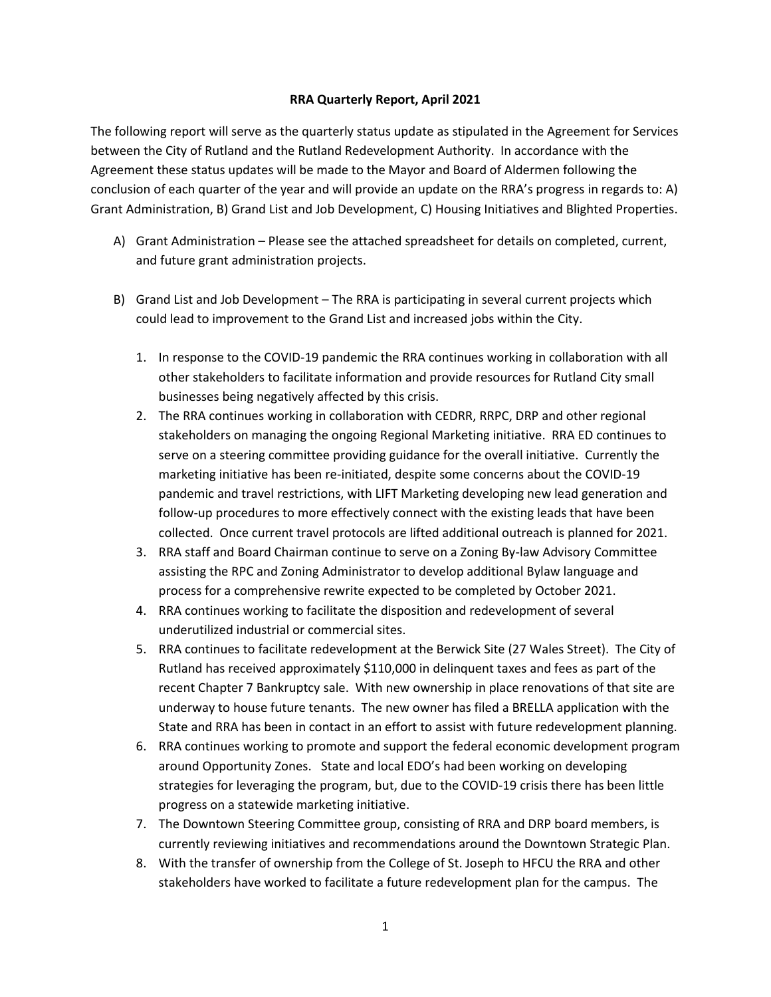## **RRA Quarterly Report, April 2021**

The following report will serve as the quarterly status update as stipulated in the Agreement for Services between the City of Rutland and the Rutland Redevelopment Authority. In accordance with the Agreement these status updates will be made to the Mayor and Board of Aldermen following the conclusion of each quarter of the year and will provide an update on the RRA's progress in regards to: A) Grant Administration, B) Grand List and Job Development, C) Housing Initiatives and Blighted Properties.

- A) Grant Administration Please see the attached spreadsheet for details on completed, current, and future grant administration projects.
- B) Grand List and Job Development The RRA is participating in several current projects which could lead to improvement to the Grand List and increased jobs within the City.
	- 1. In response to the COVID-19 pandemic the RRA continues working in collaboration with all other stakeholders to facilitate information and provide resources for Rutland City small businesses being negatively affected by this crisis.
	- 2. The RRA continues working in collaboration with CEDRR, RRPC, DRP and other regional stakeholders on managing the ongoing Regional Marketing initiative. RRA ED continues to serve on a steering committee providing guidance for the overall initiative. Currently the marketing initiative has been re-initiated, despite some concerns about the COVID-19 pandemic and travel restrictions, with LIFT Marketing developing new lead generation and follow-up procedures to more effectively connect with the existing leads that have been collected. Once current travel protocols are lifted additional outreach is planned for 2021.
	- 3. RRA staff and Board Chairman continue to serve on a Zoning By-law Advisory Committee assisting the RPC and Zoning Administrator to develop additional Bylaw language and process for a comprehensive rewrite expected to be completed by October 2021.
	- 4. RRA continues working to facilitate the disposition and redevelopment of several underutilized industrial or commercial sites.
	- 5. RRA continues to facilitate redevelopment at the Berwick Site (27 Wales Street). The City of Rutland has received approximately \$110,000 in delinquent taxes and fees as part of the recent Chapter 7 Bankruptcy sale. With new ownership in place renovations of that site are underway to house future tenants. The new owner has filed a BRELLA application with the State and RRA has been in contact in an effort to assist with future redevelopment planning.
	- 6. RRA continues working to promote and support the federal economic development program around Opportunity Zones. State and local EDO's had been working on developing strategies for leveraging the program, but, due to the COVID-19 crisis there has been little progress on a statewide marketing initiative.
	- 7. The Downtown Steering Committee group, consisting of RRA and DRP board members, is currently reviewing initiatives and recommendations around the Downtown Strategic Plan.
	- 8. With the transfer of ownership from the College of St. Joseph to HFCU the RRA and other stakeholders have worked to facilitate a future redevelopment plan for the campus. The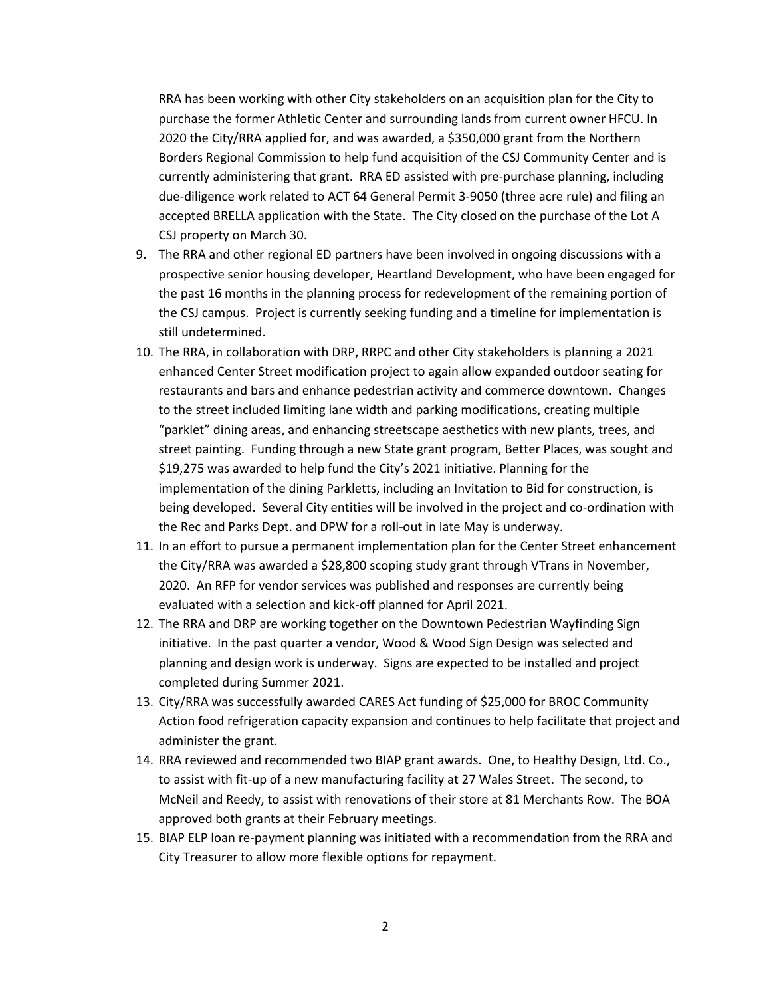RRA has been working with other City stakeholders on an acquisition plan for the City to purchase the former Athletic Center and surrounding lands from current owner HFCU. In 2020 the City/RRA applied for, and was awarded, a \$350,000 grant from the Northern Borders Regional Commission to help fund acquisition of the CSJ Community Center and is currently administering that grant. RRA ED assisted with pre-purchase planning, including due-diligence work related to ACT 64 General Permit 3-9050 (three acre rule) and filing an accepted BRELLA application with the State. The City closed on the purchase of the Lot A CSJ property on March 30.

- 9. The RRA and other regional ED partners have been involved in ongoing discussions with a prospective senior housing developer, Heartland Development, who have been engaged for the past 16 months in the planning process for redevelopment of the remaining portion of the CSJ campus. Project is currently seeking funding and a timeline for implementation is still undetermined.
- 10. The RRA, in collaboration with DRP, RRPC and other City stakeholders is planning a 2021 enhanced Center Street modification project to again allow expanded outdoor seating for restaurants and bars and enhance pedestrian activity and commerce downtown. Changes to the street included limiting lane width and parking modifications, creating multiple "parklet" dining areas, and enhancing streetscape aesthetics with new plants, trees, and street painting. Funding through a new State grant program, Better Places, was sought and \$19,275 was awarded to help fund the City's 2021 initiative. Planning for the implementation of the dining Parkletts, including an Invitation to Bid for construction, is being developed. Several City entities will be involved in the project and co-ordination with the Rec and Parks Dept. and DPW for a roll-out in late May is underway.
- 11. In an effort to pursue a permanent implementation plan for the Center Street enhancement the City/RRA was awarded a \$28,800 scoping study grant through VTrans in November, 2020. An RFP for vendor services was published and responses are currently being evaluated with a selection and kick-off planned for April 2021.
- 12. The RRA and DRP are working together on the Downtown Pedestrian Wayfinding Sign initiative. In the past quarter a vendor, Wood & Wood Sign Design was selected and planning and design work is underway. Signs are expected to be installed and project completed during Summer 2021.
- 13. City/RRA was successfully awarded CARES Act funding of \$25,000 for BROC Community Action food refrigeration capacity expansion and continues to help facilitate that project and administer the grant.
- 14. RRA reviewed and recommended two BIAP grant awards. One, to Healthy Design, Ltd. Co., to assist with fit-up of a new manufacturing facility at 27 Wales Street. The second, to McNeil and Reedy, to assist with renovations of their store at 81 Merchants Row. The BOA approved both grants at their February meetings.
- 15. BIAP ELP loan re-payment planning was initiated with a recommendation from the RRA and City Treasurer to allow more flexible options for repayment.